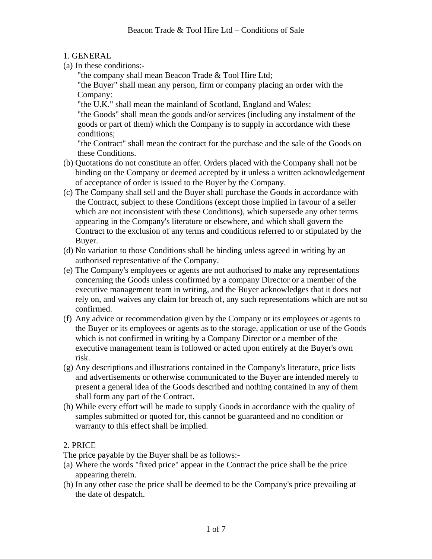1. GENERAL

(a) In these conditions:-

"the company shall mean Beacon Trade & Tool Hire Ltd;

"the Buyer" shall mean any person, firm or company placing an order with the Company:

"the U.K." shall mean the mainland of Scotland, England and Wales;

"the Goods" shall mean the goods and/or services (including any instalment of the goods or part of them) which the Company is to supply in accordance with these conditions;

"the Contract" shall mean the contract for the purchase and the sale of the Goods on these Conditions.

- (b) Quotations do not constitute an offer. Orders placed with the Company shall not be binding on the Company or deemed accepted by it unless a written acknowledgement of acceptance of order is issued to the Buyer by the Company.
- (c) The Company shall sell and the Buyer shall purchase the Goods in accordance with the Contract, subject to these Conditions (except those implied in favour of a seller which are not inconsistent with these Conditions), which supersede any other terms appearing in the Company's literature or elsewhere, and which shall govern the Contract to the exclusion of any terms and conditions referred to or stipulated by the Buyer.
- (d) No variation to those Conditions shall be binding unless agreed in writing by an authorised representative of the Company.
- (e) The Company's employees or agents are not authorised to make any representations concerning the Goods unless confirmed by a company Director or a member of the executive management team in writing, and the Buyer acknowledges that it does not rely on, and waives any claim for breach of, any such representations which are not so confirmed.
- (f) Any advice or recommendation given by the Company or its employees or agents to the Buyer or its employees or agents as to the storage, application or use of the Goods which is not confirmed in writing by a Company Director or a member of the executive management team is followed or acted upon entirely at the Buyer's own risk.
- (g) Any descriptions and illustrations contained in the Company's literature, price lists and advertisements or otherwise communicated to the Buyer are intended merely to present a general idea of the Goods described and nothing contained in any of them shall form any part of the Contract.
- (h) While every effort will be made to supply Goods in accordance with the quality of samples submitted or quoted for, this cannot be guaranteed and no condition or warranty to this effect shall be implied.

# 2. PRICE

The price payable by the Buyer shall be as follows:-

- (a) Where the words "fixed price" appear in the Contract the price shall be the price appearing therein.
- (b) In any other case the price shall be deemed to be the Company's price prevailing at the date of despatch.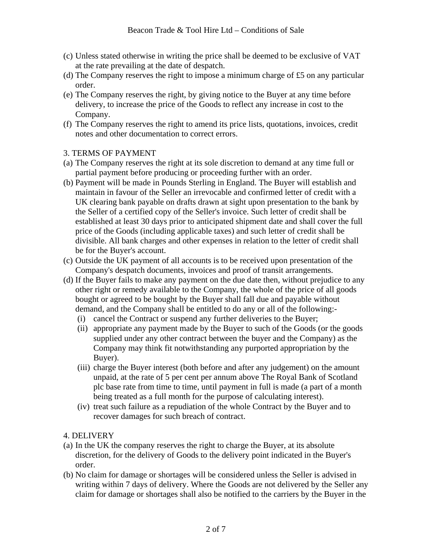- (c) Unless stated otherwise in writing the price shall be deemed to be exclusive of VAT at the rate prevailing at the date of despatch.
- (d) The Company reserves the right to impose a minimum charge of £5 on any particular order.
- (e) The Company reserves the right, by giving notice to the Buyer at any time before delivery, to increase the price of the Goods to reflect any increase in cost to the Company.
- (f) The Company reserves the right to amend its price lists, quotations, invoices, credit notes and other documentation to correct errors.

#### 3. TERMS OF PAYMENT

- (a) The Company reserves the right at its sole discretion to demand at any time full or partial payment before producing or proceeding further with an order.
- (b) Payment will be made in Pounds Sterling in England. The Buyer will establish and maintain in favour of the Seller an irrevocable and confirmed letter of credit with a UK clearing bank payable on drafts drawn at sight upon presentation to the bank by the Seller of a certified copy of the Seller's invoice. Such letter of credit shall be established at least 30 days prior to anticipated shipment date and shall cover the full price of the Goods (including applicable taxes) and such letter of credit shall be divisible. All bank charges and other expenses in relation to the letter of credit shall be for the Buyer's account.
- (c) Outside the UK payment of all accounts is to be received upon presentation of the Company's despatch documents, invoices and proof of transit arrangements.
- (d) If the Buyer fails to make any payment on the due date then, without prejudice to any other right or remedy available to the Company, the whole of the price of all goods bought or agreed to be bought by the Buyer shall fall due and payable without demand, and the Company shall be entitled to do any or all of the following:-
	- (i) cancel the Contract or suspend any further deliveries to the Buyer;
	- (ii) appropriate any payment made by the Buyer to such of the Goods (or the goods supplied under any other contract between the buyer and the Company) as the Company may think fit notwithstanding any purported appropriation by the Buyer).
	- (iii) charge the Buyer interest (both before and after any judgement) on the amount unpaid, at the rate of 5 per cent per annum above The Royal Bank of Scotland plc base rate from time to time, until payment in full is made (a part of a month being treated as a full month for the purpose of calculating interest).
	- (iv) treat such failure as a repudiation of the whole Contract by the Buyer and to recover damages for such breach of contract.

#### 4. DELIVERY

- (a) In the UK the company reserves the right to charge the Buyer, at its absolute discretion, for the delivery of Goods to the delivery point indicated in the Buyer's order.
- (b) No claim for damage or shortages will be considered unless the Seller is advised in writing within 7 days of delivery. Where the Goods are not delivered by the Seller any claim for damage or shortages shall also be notified to the carriers by the Buyer in the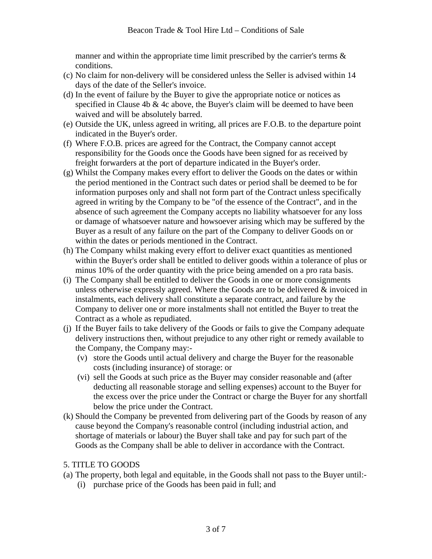manner and within the appropriate time limit prescribed by the carrier's terms  $\&$ conditions.

- (c) No claim for non-delivery will be considered unless the Seller is advised within 14 days of the date of the Seller's invoice.
- (d) In the event of failure by the Buyer to give the appropriate notice or notices as specified in Clause 4b & 4c above, the Buyer's claim will be deemed to have been waived and will be absolutely barred.
- (e) Outside the UK, unless agreed in writing, all prices are F.O.B. to the departure point indicated in the Buyer's order.
- (f) Where F.O.B. prices are agreed for the Contract, the Company cannot accept responsibility for the Goods once the Goods have been signed for as received by freight forwarders at the port of departure indicated in the Buyer's order.
- (g) Whilst the Company makes every effort to deliver the Goods on the dates or within the period mentioned in the Contract such dates or period shall be deemed to be for information purposes only and shall not form part of the Contract unless specifically agreed in writing by the Company to be "of the essence of the Contract", and in the absence of such agreement the Company accepts no liability whatsoever for any loss or damage of whatsoever nature and howsoever arising which may be suffered by the Buyer as a result of any failure on the part of the Company to deliver Goods on or within the dates or periods mentioned in the Contract.
- (h) The Company whilst making every effort to deliver exact quantities as mentioned within the Buyer's order shall be entitled to deliver goods within a tolerance of plus or minus 10% of the order quantity with the price being amended on a pro rata basis.
- (i) The Company shall be entitled to deliver the Goods in one or more consignments unless otherwise expressly agreed. Where the Goods are to be delivered  $\&$  invoiced in instalments, each delivery shall constitute a separate contract, and failure by the Company to deliver one or more instalments shall not entitled the Buyer to treat the Contract as a whole as repudiated.
- (j) If the Buyer fails to take delivery of the Goods or fails to give the Company adequate delivery instructions then, without prejudice to any other right or remedy available to the Company, the Company may:-
	- (v) store the Goods until actual delivery and charge the Buyer for the reasonable costs (including insurance) of storage: or
	- (vi) sell the Goods at such price as the Buyer may consider reasonable and (after deducting all reasonable storage and selling expenses) account to the Buyer for the excess over the price under the Contract or charge the Buyer for any shortfall below the price under the Contract.
- (k) Should the Company be prevented from delivering part of the Goods by reason of any cause beyond the Company's reasonable control (including industrial action, and shortage of materials or labour) the Buyer shall take and pay for such part of the Goods as the Company shall be able to deliver in accordance with the Contract.

#### 5. TITLE TO GOODS

- (a) The property, both legal and equitable, in the Goods shall not pass to the Buyer until:-
	- (i) purchase price of the Goods has been paid in full; and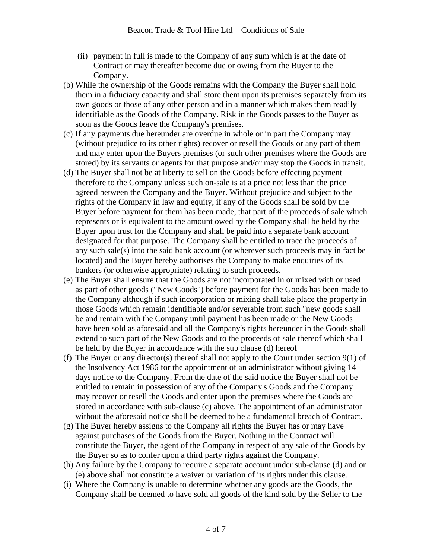- (ii) payment in full is made to the Company of any sum which is at the date of Contract or may thereafter become due or owing from the Buyer to the Company.
- (b) While the ownership of the Goods remains with the Company the Buyer shall hold them in a fiduciary capacity and shall store them upon its premises separately from its own goods or those of any other person and in a manner which makes them readily identifiable as the Goods of the Company. Risk in the Goods passes to the Buyer as soon as the Goods leave the Company's premises.
- (c) If any payments due hereunder are overdue in whole or in part the Company may (without prejudice to its other rights) recover or resell the Goods or any part of them and may enter upon the Buyers premises (or such other premises where the Goods are stored) by its servants or agents for that purpose and/or may stop the Goods in transit.
- (d) The Buyer shall not be at liberty to sell on the Goods before effecting payment therefore to the Company unless such on-sale is at a price not less than the price agreed between the Company and the Buyer. Without prejudice and subject to the rights of the Company in law and equity, if any of the Goods shall be sold by the Buyer before payment for them has been made, that part of the proceeds of sale which represents or is equivalent to the amount owed by the Company shall be held by the Buyer upon trust for the Company and shall be paid into a separate bank account designated for that purpose. The Company shall be entitled to trace the proceeds of any such sale(s) into the said bank account (or wherever such proceeds may in fact be located) and the Buyer hereby authorises the Company to make enquiries of its bankers (or otherwise appropriate) relating to such proceeds.
- (e) The Buyer shall ensure that the Goods are not incorporated in or mixed with or used as part of other goods ("New Goods") before payment for the Goods has been made to the Company although if such incorporation or mixing shall take place the property in those Goods which remain identifiable and/or severable from such "new goods shall be and remain with the Company until payment has been made or the New Goods have been sold as aforesaid and all the Company's rights hereunder in the Goods shall extend to such part of the New Goods and to the proceeds of sale thereof which shall be held by the Buyer in accordance with the sub clause (d) hereof
- (f) The Buyer or any director(s) thereof shall not apply to the Court under section 9(1) of the Insolvency Act 1986 for the appointment of an administrator without giving 14 days notice to the Company. From the date of the said notice the Buyer shall not be entitled to remain in possession of any of the Company's Goods and the Company may recover or resell the Goods and enter upon the premises where the Goods are stored in accordance with sub-clause (c) above. The appointment of an administrator without the aforesaid notice shall be deemed to be a fundamental breach of Contract.
- (g) The Buyer hereby assigns to the Company all rights the Buyer has or may have against purchases of the Goods from the Buyer. Nothing in the Contract will constitute the Buyer, the agent of the Company in respect of any sale of the Goods by the Buyer so as to confer upon a third party rights against the Company.
- (h) Any failure by the Company to require a separate account under sub-clause (d) and or (e) above shall not constitute a waiver or variation of its rights under this clause.
- (i) Where the Company is unable to determine whether any goods are the Goods, the Company shall be deemed to have sold all goods of the kind sold by the Seller to the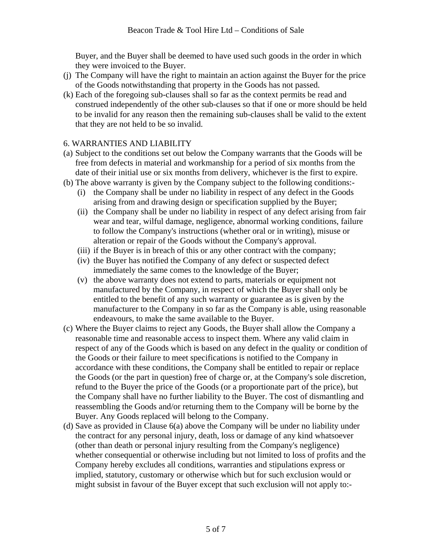Buyer, and the Buyer shall be deemed to have used such goods in the order in which they were invoiced to the Buyer.

- (j) The Company will have the right to maintain an action against the Buyer for the price of the Goods notwithstanding that property in the Goods has not passed.
- (k) Each of the foregoing sub-clauses shall so far as the context permits be read and construed independently of the other sub-clauses so that if one or more should be held to be invalid for any reason then the remaining sub-clauses shall be valid to the extent that they are not held to be so invalid.

#### 6. WARRANTIES AND LIABILITY

- (a) Subject to the conditions set out below the Company warrants that the Goods will be free from defects in material and workmanship for a period of six months from the date of their initial use or six months from delivery, whichever is the first to expire.
- (b) The above warranty is given by the Company subject to the following conditions:-
	- (i) the Company shall be under no liability in respect of any defect in the Goods arising from and drawing design or specification supplied by the Buyer;
	- (ii) the Company shall be under no liability in respect of any defect arising from fair wear and tear, wilful damage, negligence, abnormal working conditions, failure to follow the Company's instructions (whether oral or in writing), misuse or alteration or repair of the Goods without the Company's approval.
	- (iii) if the Buyer is in breach of this or any other contract with the company;
	- (iv) the Buyer has notified the Company of any defect or suspected defect immediately the same comes to the knowledge of the Buyer;
	- (v) the above warranty does not extend to parts, materials or equipment not manufactured by the Company, in respect of which the Buyer shall only be entitled to the benefit of any such warranty or guarantee as is given by the manufacturer to the Company in so far as the Company is able, using reasonable endeavours, to make the same available to the Buyer.
- (c) Where the Buyer claims to reject any Goods, the Buyer shall allow the Company a reasonable time and reasonable access to inspect them. Where any valid claim in respect of any of the Goods which is based on any defect in the quality or condition of the Goods or their failure to meet specifications is notified to the Company in accordance with these conditions, the Company shall be entitled to repair or replace the Goods (or the part in question) free of charge or, at the Company's sole discretion, refund to the Buyer the price of the Goods (or a proportionate part of the price), but the Company shall have no further liability to the Buyer. The cost of dismantling and reassembling the Goods and/or returning them to the Company will be borne by the Buyer. Any Goods replaced will belong to the Company.
- (d) Save as provided in Clause 6(a) above the Company will be under no liability under the contract for any personal injury, death, loss or damage of any kind whatsoever (other than death or personal injury resulting from the Company's negligence) whether consequential or otherwise including but not limited to loss of profits and the Company hereby excludes all conditions, warranties and stipulations express or implied, statutory, customary or otherwise which but for such exclusion would or might subsist in favour of the Buyer except that such exclusion will not apply to:-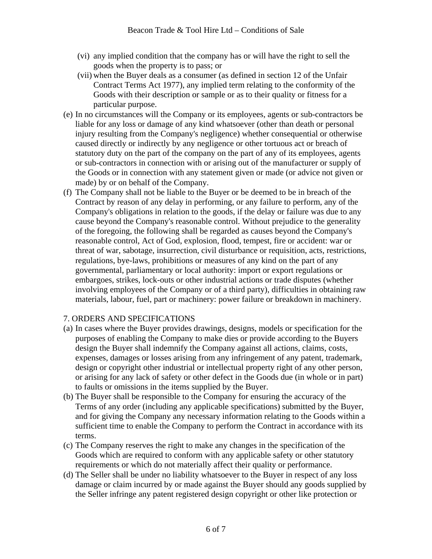- (vi) any implied condition that the company has or will have the right to sell the goods when the property is to pass; or
- (vii) when the Buyer deals as a consumer (as defined in section 12 of the Unfair Contract Terms Act 1977), any implied term relating to the conformity of the Goods with their description or sample or as to their quality or fitness for a particular purpose.
- (e) In no circumstances will the Company or its employees, agents or sub-contractors be liable for any loss or damage of any kind whatsoever (other than death or personal injury resulting from the Company's negligence) whether consequential or otherwise caused directly or indirectly by any negligence or other tortuous act or breach of statutory duty on the part of the company on the part of any of its employees, agents or sub-contractors in connection with or arising out of the manufacturer or supply of the Goods or in connection with any statement given or made (or advice not given or made) by or on behalf of the Company.
- (f) The Company shall not be liable to the Buyer or be deemed to be in breach of the Contract by reason of any delay in performing, or any failure to perform, any of the Company's obligations in relation to the goods, if the delay or failure was due to any cause beyond the Company's reasonable control. Without prejudice to the generality of the foregoing, the following shall be regarded as causes beyond the Company's reasonable control, Act of God, explosion, flood, tempest, fire or accident: war or threat of war, sabotage, insurrection, civil disturbance or requisition, acts, restrictions, regulations, bye-laws, prohibitions or measures of any kind on the part of any governmental, parliamentary or local authority: import or export regulations or embargoes, strikes, lock-outs or other industrial actions or trade disputes (whether involving employees of the Company or of a third party), difficulties in obtaining raw materials, labour, fuel, part or machinery: power failure or breakdown in machinery.

#### 7. ORDERS AND SPECIFICATIONS

- (a) In cases where the Buyer provides drawings, designs, models or specification for the purposes of enabling the Company to make dies or provide according to the Buyers design the Buyer shall indemnify the Company against all actions, claims, costs, expenses, damages or losses arising from any infringement of any patent, trademark, design or copyright other industrial or intellectual property right of any other person, or arising for any lack of safety or other defect in the Goods due (in whole or in part) to faults or omissions in the items supplied by the Buyer.
- (b) The Buyer shall be responsible to the Company for ensuring the accuracy of the Terms of any order (including any applicable specifications) submitted by the Buyer, and for giving the Company any necessary information relating to the Goods within a sufficient time to enable the Company to perform the Contract in accordance with its terms.
- (c) The Company reserves the right to make any changes in the specification of the Goods which are required to conform with any applicable safety or other statutory requirements or which do not materially affect their quality or performance.
- (d) The Seller shall be under no liability whatsoever to the Buyer in respect of any loss damage or claim incurred by or made against the Buyer should any goods supplied by the Seller infringe any patent registered design copyright or other like protection or